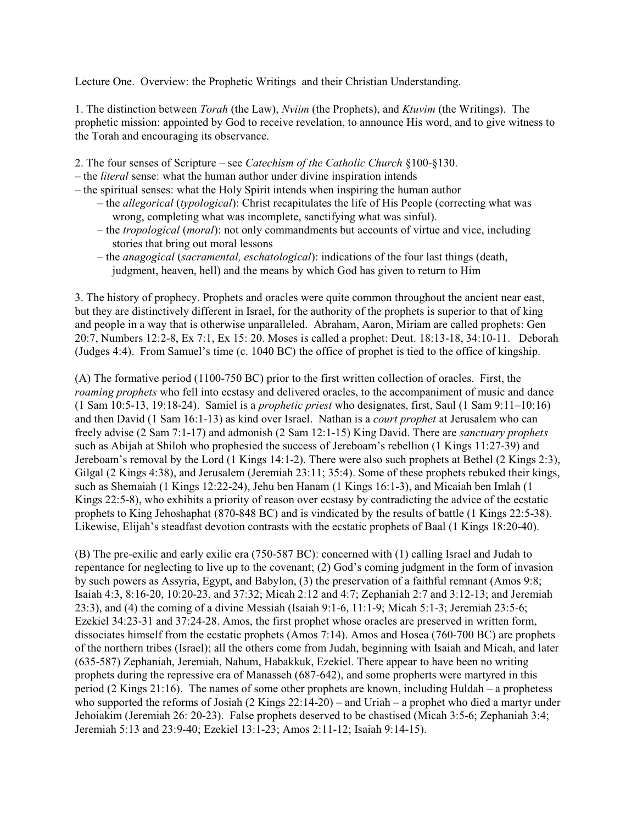Lecture One. Overview: the Prophetic Writings and their Christian Understanding.

1. The distinction between *Torah* (the Law), *Nviim* (the Prophets), and *Ktuvim* (the Writings). The prophetic mission: appointed by God to receive revelation, to announce His word, and to give witness to the Torah and encouraging its observance.

- 2. The four senses of Scripture see *Catechism of the Catholic Church* §100-§130.
- the *literal* sense: what the human author under divine inspiration intends
- the spiritual senses: what the Holy Spirit intends when inspiring the human author
	- the *allegorical* (*typological*): Christ recapitulates the life of His People (correcting what was wrong, completing what was incomplete, sanctifying what was sinful).
	- the *tropological* (*moral*): not only commandments but accounts of virtue and vice, including stories that bring out moral lessons
	- the *anagogical* (*sacramental, eschatological*): indications of the four last things (death, judgment, heaven, hell) and the means by which God has given to return to Him

3. The history of prophecy. Prophets and oracles were quite common throughout the ancient near east, but they are distinctively different in Israel, for the authority of the prophets is superior to that of king and people in a way that is otherwise unparalleled. Abraham, Aaron, Miriam are called prophets: Gen 20:7, Numbers 12:2-8, Ex 7:1, Ex 15: 20. Moses is called a prophet: Deut. 18:13-18, 34:10-11. Deborah (Judges 4:4). From Samuel's time (c. 1040 BC) the office of prophet is tied to the office of kingship.

(A) The formative period (1100-750 BC) prior to the first written collection of oracles. First, the *roaming prophets* who fell into ecstasy and delivered oracles, to the accompaniment of music and dance (1 Sam 10:5-13, 19:18-24). Samiel is a *prophetic priest* who designates, first, Saul (1 Sam 9:11–10:16) and then David (1 Sam 16:1-13) as kind over Israel. Nathan is a *court prophet* at Jerusalem who can freely advise (2 Sam 7:1-17) and admonish (2 Sam 12:1-15) King David. There are *sanctuary prophets* such as Abijah at Shiloh who prophesied the success of Jereboam's rebellion (1 Kings 11:27-39) and Jereboam's removal by the Lord (1 Kings 14:1-2). There were also such prophets at Bethel (2 Kings 2:3), Gilgal (2 Kings 4:38), and Jerusalem (Jeremiah 23:11; 35:4). Some of these prophets rebuked their kings, such as Shemaiah (1 Kings 12:22-24), Jehu ben Hanam (1 Kings 16:1-3), and Micaiah ben Imlah (1 Kings 22:5-8), who exhibits a priority of reason over ecstasy by contradicting the advice of the ecstatic prophets to King Jehoshaphat (870-848 BC) and is vindicated by the results of battle (1 Kings 22:5-38). Likewise, Elijah's steadfast devotion contrasts with the ecstatic prophets of Baal (1 Kings 18:20-40).

(B) The pre-exilic and early exilic era (750-587 BC): concerned with (1) calling Israel and Judah to repentance for neglecting to live up to the covenant; (2) God's coming judgment in the form of invasion by such powers as Assyria, Egypt, and Babylon, (3) the preservation of a faithful remnant (Amos 9:8; Isaiah 4:3, 8:16-20, 10:20-23, and 37:32; Micah 2:12 and 4:7; Zephaniah 2:7 and 3:12-13; and Jeremiah 23:3), and (4) the coming of a divine Messiah (Isaiah 9:1-6, 11:1-9; Micah 5:1-3; Jeremiah 23:5-6; Ezekiel 34:23-31 and 37:24-28. Amos, the first prophet whose oracles are preserved in written form, dissociates himself from the ecstatic prophets (Amos 7:14). Amos and Hosea (760-700 BC) are prophets of the northern tribes (Israel); all the others come from Judah, beginning with Isaiah and Micah, and later (635-587) Zephaniah, Jeremiah, Nahum, Habakkuk, Ezekiel. There appear to have been no writing prophets during the repressive era of Manasseh (687-642), and some propherts were martyred in this period (2 Kings 21:16). The names of some other prophets are known, including Huldah – a prophetess who supported the reforms of Josiah (2 Kings 22:14-20) – and Uriah – a prophet who died a martyr under Jehoiakim (Jeremiah 26: 20-23). False prophets deserved to be chastised (Micah 3:5-6; Zephaniah 3:4; Jeremiah 5:13 and 23:9-40; Ezekiel 13:1-23; Amos 2:11-12; Isaiah 9:14-15).